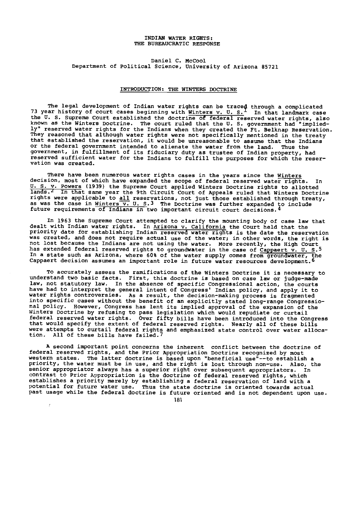# INDIAN WATER RIGHTS: THE BUREAUCRATIC RESPONSE

Daniel C. McCool Department of Political Science, University of Arizona 85721

#### INTRODUCTION: THE WINTERS DOCTRINE

The legal development of Indian water rights can be traced through a complicated 73 year history of court cases beginning with  $\frac{W}{M}$  in  $S$ . In that landmark case the U. S. Supreme Court established the doctrine of federal reserved water rights, also known as the Winters Doctrine. The court ruled that the U. S. government had "implied-<br>ly" reserved water rights for the Indians when they created the Ft. Belknap Reservation. They reasoned that although water rights were not specifically mentioned in the treaty that established the reservation, it would be unreasonable to assume that the Indians<br>or the federal government intended to alienate the water from the land. Thus the<br>government, in fulfillment of its fiduciary duty as tru reserved sufficient water for the Indians to fulfill the purposes for which the reservation was created.

There have been numerous water rights cases in the years since the Winters<br>decision, most of which have expanded the scope of federal reserved water rights. In decision, most of which have expanded the scope of federal reserved water rights. In<br>U. S. v. Powers (1939) the Supreme Court applied Winters Doctrine rights to allotted<br>lands.<sup>Z</sup> In that same year the 9th Circuit Court o rignts were applicable to <u>all</u> reservations, not just those established through treaty,<br>as was the case in <u>Winters V. U. S</u>.<sup>3</sup> The Doctrine was further expanded to include<br>future requirements of Indians in two important

In 1963 the Supreme Court attempted to clarify the mounting body of case law that<br>dealt with Indian water rights. In <u>Arizona v. California</u> the Court held that the<br>priority date for establishing Indian reserved water righ was created, and does not require actual use of the water; in other words, the right is<br>not lost because the Indians are not using the water. More recently, the High Court nas extended federal reserved rights to groundwater in the case of Cappaert v. U. S.<sup>5</sup><br>In a state such as Arizona, where 60% of the water supply comes from groundwater, the Cappaert decision assumes an important role in future water resources development.6

To accurately assess the ramifications of the Winters Doctrine it is necessary to understand two basic facts. First, this doctrine is based on case law or judge -made law, not statutory law. In the absence of specific Congressional action, the courts have had to interpret the general intent of Congress' Indian policy, and apply it to water rights controversies. As a result, the decision-making process is fragmented<br>into specific cases without the benefit of an explicitly stated long-range Congressional policy. However, Congress has lent its implied approval of the expansion of the Winters Doctrine by refusing to pass legislation which would repudiate or curtail federal reserved water rights. Over fifty bills have been introduced into the Congress that would specify the extent of federal reserved rights. Nearly all of these bills<br>were attempts to curtail federal rights and emphasized state control over water alloca-<br>tion. All of these bills have failed.<sup>7</sup>

A second important point concerns the inherent conflict between the doctrine of federal reserved rights, and the Prior Appropriation Doctrine recognized by most western states. The latter doctrine is based upon "beneficial use"--to establish a<br>priority, the water must be in use, and the right is lost through non-use. Also, the senior appropriator always has a superior right over subsequent appropriators. In contrast to Prior Appropriation is the doctrine of federal reserved rights, which establishes a priority merely by establishing a federal reservation of land with a<br>potential for future water use. Thus the state doctrine is oriented towards actual<br>past usage while the federal doctrine is future oriented

181

 $\overline{f}$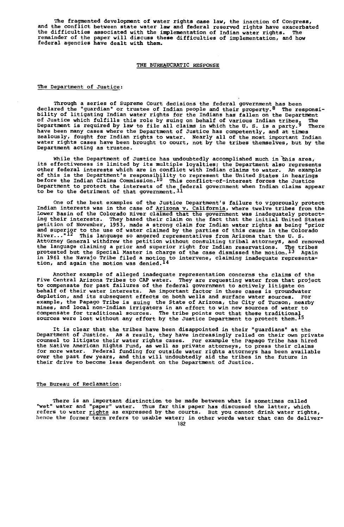The fragmented development of water rights case law, the inaction of Congress,<br>and the conflict between state water law and federal reserved rights have exacerbated<br>the difficulties associated with the implementation of In

#### THE BUREAUCRATIC RESPONSE

## The Department of Justice:

Through a series of Supreme Court decisions the federal government has been declared the "guardian" or trustee of Indian people and their property.8 The responsi-bility of litigating Indian water rights for the Indians has fallen on the Department of Justice which fulfills this role by suing on behalf of various Indian tribes. The<br>Department is required by law to file all claims in which the U.S. is a party.<sup>9</sup> There Department is required by law to file all claims in which the U.S. is a party.<sup>y</sup> There<br>have been many cases where the Department of Justice has competently, and at times<br>zealously, fought for Indian rights to water. Nearl Department acting as trustee.

While the Department of Justice has undoubtedly accomplished much in <del>chis area,</del><br>its effectiveness is limited by its multiple loyalties; the Department also represents<br>other federal interests which are in conflict with In of this is the Department's responsibility to represent the United States in hearings before the Indian Claims Commission.10 This conflict -of- interest forces the Justice Department to protect the interests of the federal government when Indian claims appear<br>to be to the detriment of that government.ll

One of the best examples of the Justice Department's failure to vigorously protect<br>Indian interests was in the case of Arizona v. California, where twelve tribes from the<br>Lower Basin of the Colorado River claimed that the ing their interests. They based their claim on the fact that the initial United States<br>petition of November, 1953, made a strong claim for Indian water rights as being "prior<br>and superior to the use of water claimed by th River... "12 This language so angered representatives from Arizona that the U. S. Attorney General withdrew the petition without consulting tribal attorneys, and removed the language claiming a prior and superior right for Indian reservations. The tribes<br>protested but the Special Master in charge of the case dismissed the motion.<sup>13</sup> Again in 1961 the Navajo Tribe filed a motion to intervene, claiming inadequate representa<br>tion, and again the motion was denied.<sup>14</sup>

Another example of alleged inadequate representation concerns the claims of the<br>Five Central Arizona Tribes to CAP water. They are requesting water from that project<br>to compensate for past failures of the federal governmen depletion, and its subsequent effects on both wells and surface water sources. For example, the Papago Tribe is suing the State of Arizona, the City of Tucson, nearby mines, and local non -Indian irrigators in an effort to win new sources of water to compensate for traditional sources. The tribe points out that these traditional sources were lost without any effort by the Justice Department to protect them.15

It is clear that the tribes have been disappointed in their "guardians" at the Department of Justice. As a result, they have increasingly relied on their own private counsel to litigate their water rights cases. For example the Papago Tribe has hired the Native American Rights Fund, as well as private attorneys, to press their claims for more water. Federal funding for outside water rights attorneys has been available over the past few years, and this will undoubtedly aid the tribes in the future in their drive to become less dependent on the Department of Justice.

# The Bureau of Reclamation:

There is an important distinction to be made between what is sometimes called "wet" water and "paper" water. Thus far this paper has discussed the latter, which refers to water rights as expressed by the courts. But you cannot drink water rights, hence the former term refers to usable water; in other words water that can de deliver-182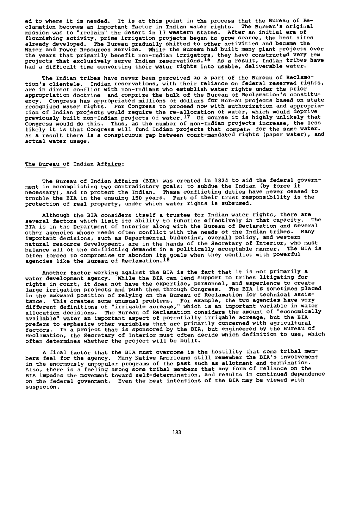ed to where it is needed. It is at this point in the process that the Bureau of Reclamation becomes an important factor in Indian water rights. The Bureau's original<br>mission was to "reclaim" the desert in l7 western states. After an initial era of<br>flourishing activity, prime irrigation projects began already developed. The Bureau gradually shifted to other activities and became the Water and Power Resources Service. While the Bureau had built many giant projects over the years that primarily benefit non-Indian irrigators, they have constructed very rew<br>projects that exclusively serve Indian reservations.<sup>16</sup> As a result, Indian tribes have had a difficult time converting their water rights into usable, deliverable water.

The Indian tribes have never been perceived as a part of the Bureau of Reclamation's clientele. Indian reservations, with their reliance on federal reserved rights, are in direct conflict with non-Indians who establish water rights under the prior<br>appropriation doctrine and comprize the bulk of the Bureau of Reclamation's constituappropriation doctrine and comprize the bulk of the Bureau of Reclamation's constitu-ency. Congress has appropriated millions of dollars for Bureau projects based on state recognized water rights. For Congress to proceed now with authorization and appropriation and the right of th<br>tion of Indian projects would require the re-allocation of water, which would deprive<br>previously built non-Indi Congress would do this. Thus, as the number of non-Indian projects increase, the less<br>likely it is that Congress will fund Indian projects that compete for the same water. As a result there is a conspicuous gap between court-mandated rights (paper water), and actual water usage.

# The Bureau of Indian Affairs:

The Bureau of Indian Affairs (BIA) was created in 1824 to aid the federal government in accomplishing two contradictory goals; to subdue the Indian (by force if<br>necessary), and to protect the Indian. These conflicting duties have never ceased to<br>trouble the BIA in the ensuing 150 years. Part of their

Although the BIA considers itself a trustee for Indian water rights, there are<br>several factors which limit its ability to function effectively in that capacity. The<br>BIA is in the Department of Interior along with the Burea other agencies whose needs often conflict with the needs of the Indian tribes. Many<br>important decisions, such as Departmental budgeting, overall policy, and western<br>natural resource development, are in the hands of the Sec often forced to compromise or abondon its goals when they conflict with powerful agencies like the Bureau of Reclamation.18

Another factor working against the BIA is the fact that it is not primarily a water development agency. While the BIA can lend support to tribes litigating for rights in court, it does not have the expertise, personnel, and experience to create large irrigation projects and push them through Congress. The BIA is sometimes placed in the awkward position of relying on the Bureau of Reclamation for technical assistance. This creates some unusual problems. For example, the two agencies have very different definitions of "irrigable acreage," which is an important variable in water allocation decisions. The Bureau of Reclamation considers the amount of "economically available" water an important aspect of potentially irrigable acreage, but the BIA prefers to emphasize other variables that are primarily concerned with agricultural<br>factors. In a project that is sponsored by the BIA, but engineered by the Bureau o In a project that is sponsored by the BIA, but engineered by the Bureau of Reclamation, the Secretary of Interior must often decide which definition to use, which often determines whether the project will be built.

A final factor that the BIA must overcome is the hostility that some tribal mem-bers feel for the agency. Many Native Americans still remember the BIA's involvement in the enormously unpopular programs of the past such as allotment and termination. Also, there is a feeling among some tribal members that any form of reliance on the<br>BIA impedes the movement toward self-determination, and results in continued dependence<br>on the federal govenment. Even the best intention suspicion.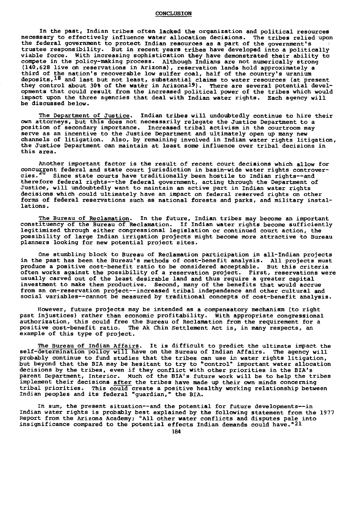## CONCLUSION

In the past, Indian tribes often lacked the organization and political resources necessary to effectively influence water allocation decisions. The tribes relied upon the federal government to protect Indian resources as a part of the government's trustee responsibility. But in recent years tribes have developed into a politically viable force. With increasing sophistication they have demonstrated their ability to compete in the policy -making process. Although Indians are not numerically strong (140,628 live on reservations in Arizona), reservation lands hold approximately a third of the nation's recoverable low sulfer coal, half of the country's uranium<br>deposits,<sup>18</sup> and last but not least, substantial claims to water resources (at present<br>they control about 30% of the water in Arizona<sup>19</sup>). opments that could result from the increased political power of the tribes which would impact upon the three agencies that deal with Indian water rights. Each agency will be discussed below.

The Department of Justice. Indian tribes will undoubtedly continue to hire their own attorneys, but this does not necessarily relegate the Justice Department to a position of secondary importance. Increased tribal activism in the courtroom may serve as an incentive to the Justice Department and ultimately open up many new channels of litigation. Also, by remaining involved in Indian water rights litigation, the Justice Department can maintain at least some influence over tribal decisions in this area.

Another important factor is the result of recent court decisions which allow for concurrent federal and state court jurisdiction in basin-wide water rights controver-<br>cies.<sup>20</sup> Since state courts have traditionally been hostile to Indian rights-and Since state courts have traditionally been hostile to Indian rights--and therefore federal rights--the federal government, acting through the Department of Justice, will undoubtedly want to maintain an active part in Indian water rights decisions which could ultimately have an impact on federal reserved rights on other forms of federal reservations such as national forests and parks, and military installations.

The Bureau of Reclamation. In the future, Indian tribes may become an important constituency of the Bureau of Reclamation. If Indian water rights become sufficiently legitimized through either congressional legislation or continued court action, the possibility of large Indian irrigation projects might become more attractive to Bureau planners looking for new potential project sites.

One stumbling block to Bureau of Reclamation participation in all-Indian projects in the past has been the Bureau's methods of cost -benefit analysis. All projects must produce a positive cost-benefit ratio to be considered acceptable. But this criteria often works against the possibility of a reservation project. First, reservations were usually carved out of the least desirable land and thus require a greater capital investment to make them productive. Second, many of the benefits that would accrue<br>from an on-reservation project--increased tribal independence and other cultural and social variables--cannot be measured by traditional concepts of cost-benefit analysis.

However, future projects may be intended as a compensatory mechanism (to right past injustices) rather than economic profitability. With appropriate congressional authorization, this could free the Bureau of Reclamation from the requirement for a positive cost -benefit ratio. The Ak Chin Settlement Act is, in many respects, an example of this type of project.

The Bureau of Indian Affairs. It is difficult to predict the ultimate impact the self-determination policy will have on the Bureau of Indian Affairs. The agency will<br>probably continue to fund studies that the tribes can use in water rights litigation,<br>but beyond that the BIA may be hesitant to try to " implement their decisions after the tribes have made up their own minds concerning tribal priorities. This could create a positive healthy working relationship between Indian peoples and its federal "guardian," the BIA.

In sum, the present situation--and the potential for future developments--in Indian water rights is probably best explained by the following statement from the 1977<br>Report from the Arizona Academy; "All other water conflicts and disputes pale into<br>insignificance compared to the potential effects In